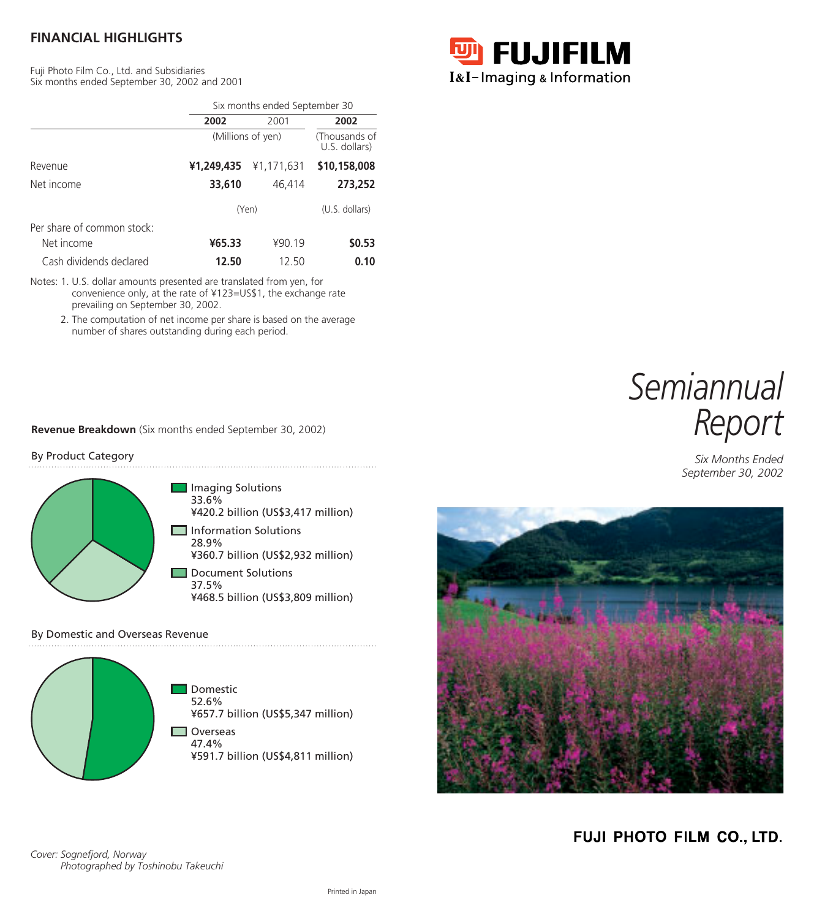# **FINANCIAL HIGHLIGHTS**

Fuji Photo Film Co., Ltd. and Subsidiaries Six months ended September 30, 2002 and 2001

|                            | Six months ended September 30 |                |                                        |  |
|----------------------------|-------------------------------|----------------|----------------------------------------|--|
|                            | 2002<br>2001                  |                | 2002<br>(Thousands of<br>U.S. dollars) |  |
|                            | (Millions of yen)             |                |                                        |  |
| Revenue                    | ¥1,249,435                    | ¥1,171,631     | \$10,158,008                           |  |
| Net income                 | 33,610                        | 46.414         | 273,252                                |  |
|                            | (Yen)                         | (U.S. dollars) |                                        |  |
| Per share of common stock: |                               |                |                                        |  |
| Net income                 | ¥65.33                        | ¥90.19         | \$0.53                                 |  |
| Cash dividends declared    | 12.50                         | 12.50          | 0.10                                   |  |

Notes: 1. U.S. dollar amounts presented are translated from yen, for convenience only, at the rate of ¥123=US\$1, the exchange rate prevailing on September 30, 2002.

## **Revenue Breakdown** (Six months ended September 30, 2002)

#### By Product Category



# By Domestic and Overseas Revenue





# FUJI PHOTO FILM CO., LTD.

**D** FUJIFILM I&I-Imaging & Information

# *Semiannual Report*

*Six Months Ended September 30, 2002*

<sup>2.</sup> The computation of net income per share is based on the average number of shares outstanding during each period.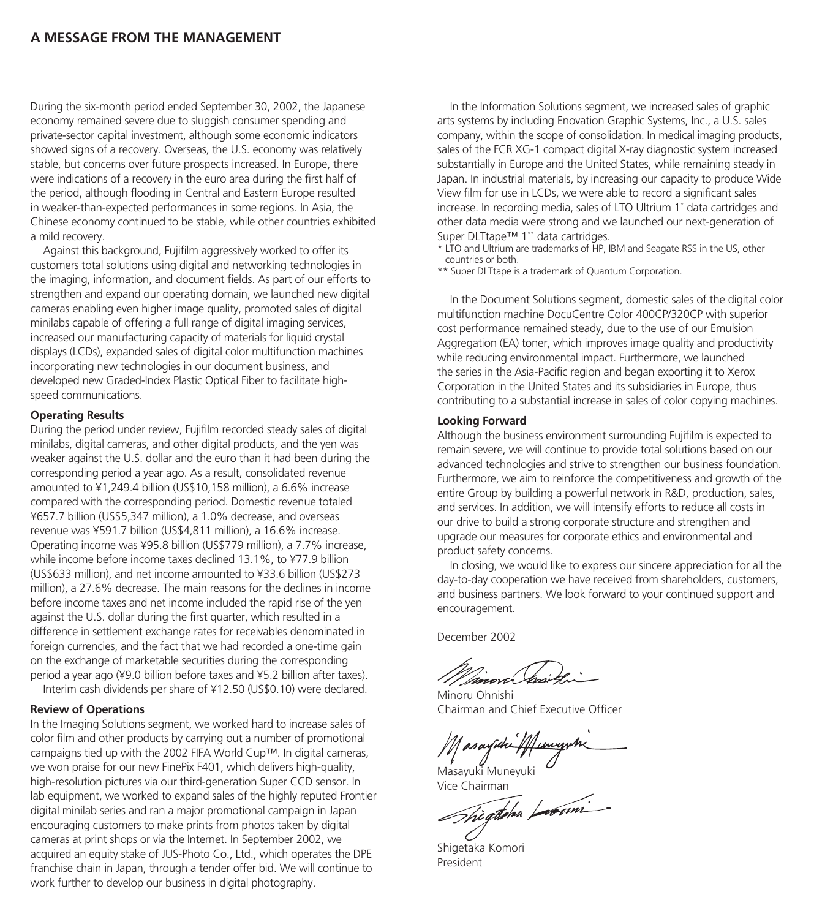## **A MESSAGE FROM THE MANAGEMENT**

During the six-month period ended September 30, 2002, the Japanese economy remained severe due to sluggish consumer spending and private-sector capital investment, although some economic indicators showed signs of a recovery. Overseas, the U.S. economy was relatively stable, but concerns over future prospects increased. In Europe, there were indications of a recovery in the euro area during the first half of the period, although flooding in Central and Eastern Europe resulted in weaker-than-expected performances in some regions. In Asia, the Chinese economy continued to be stable, while other countries exhibited a mild recovery.

Against this background, Fujifilm aggressively worked to offer its customers total solutions using digital and networking technologies in the imaging, information, and document fields. As part of our efforts to strengthen and expand our operating domain, we launched new digital cameras enabling even higher image quality, promoted sales of digital minilabs capable of offering a full range of digital imaging services, increased our manufacturing capacity of materials for liquid crystal displays (LCDs), expanded sales of digital color multifunction machines incorporating new technologies in our document business, and developed new Graded-Index Plastic Optical Fiber to facilitate highspeed communications.

#### **Operating Results**

During the period under review, Fujifilm recorded steady sales of digital minilabs, digital cameras, and other digital products, and the yen was weaker against the U.S. dollar and the euro than it had been during the corresponding period a year ago. As a result, consolidated revenue amounted to ¥1,249.4 billion (US\$10,158 million), a 6.6% increase compared with the corresponding period. Domestic revenue totaled ¥657.7 billion (US\$5,347 million), a 1.0% decrease, and overseas revenue was ¥591.7 billion (US\$4,811 million), a 16.6% increase. Operating income was ¥95.8 billion (US\$779 million), a 7.7% increase, while income before income taxes declined 13.1%, to ¥77.9 billion (US\$633 million), and net income amounted to ¥33.6 billion (US\$273 million), a 27.6% decrease. The main reasons for the declines in income before income taxes and net income included the rapid rise of the yen against the U.S. dollar during the first quarter, which resulted in a difference in settlement exchange rates for receivables denominated in foreign currencies, and the fact that we had recorded a one-time gain on the exchange of marketable securities during the corresponding period a year ago (¥9.0 billion before taxes and ¥5.2 billion after taxes). Interim cash dividends per share of ¥12.50 (US\$0.10) were declared.

**Review of Operations**

In the Imaging Solutions segment, we worked hard to increase sales of color film and other products by carrying out a number of promotional campaigns tied up with the 2002 FIFA World Cup™. In digital cameras, we won praise for our new FinePix F401, which delivers high-quality, high-resolution pictures via our third-generation Super CCD sensor. In lab equipment, we worked to expand sales of the highly reputed Frontier digital minilab series and ran a major promotional campaign in Japan encouraging customers to make prints from photos taken by digital cameras at print shops or via the Internet. In September 2002, we acquired an equity stake of JUS-Photo Co., Ltd., which operates the DPE franchise chain in Japan, through a tender offer bid. We will continue to work further to develop our business in digital photography.

In the Information Solutions segment, we increased sales of graphic arts systems by including Enovation Graphic Systems, Inc., a U.S. sales company, within the scope of consolidation. In medical imaging products, sales of the FCR XG-1 compact digital X-ray diagnostic system increased substantially in Europe and the United States, while remaining steady in Japan. In industrial materials, by increasing our capacity to produce Wide View film for use in LCDs, we were able to record a significant sales increase. In recording media, sales of LTO Ultrium 1\* data cartridges and other data media were strong and we launched our next-generation of Super DLTtape™ 1\*\* data cartridges.

\* LTO and Ultrium are trademarks of HP, IBM and Seagate RSS in the US, other countries or both.

\*\* Super DLTtape is a trademark of Quantum Corporation.

In the Document Solutions segment, domestic sales of the digital color multifunction machine DocuCentre Color 400CP/320CP with superior cost performance remained steady, due to the use of our Emulsion Aggregation (EA) toner, which improves image quality and productivity while reducing environmental impact. Furthermore, we launched the series in the Asia-Pacific region and began exporting it to Xerox Corporation in the United States and its subsidiaries in Europe, thus contributing to a substantial increase in sales of color copying machines.

## **Looking Forward**

Although the business environment surrounding Fujifilm is expected to remain severe, we will continue to provide total solutions based on our advanced technologies and strive to strengthen our business foundation. Furthermore, we aim to reinforce the competitiveness and growth of the entire Group by building a powerful network in R&D, production, sales, and services. In addition, we will intensify efforts to reduce all costs in our drive to build a strong corporate structure and strengthen and upgrade our measures for corporate ethics and environmental and product safety concerns.

In closing, we would like to express our sincere appreciation for all the day-to-day cooperation we have received from shareholders, customers, and business partners. We look forward to your continued support and encouragement.

December 2002

parorí

Minoru Ohnishi Chairman and Chief Executive Officer

Masayuki Muneyuki Vice Chairman

Shigetaka Komori President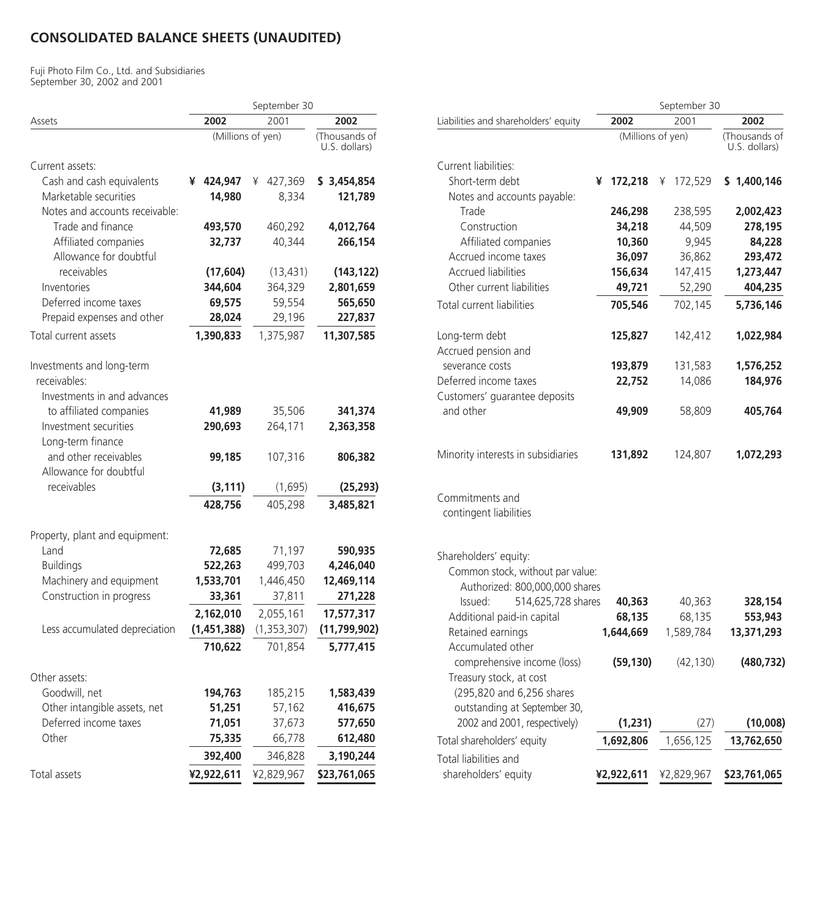# **CONSOLIDATED BALANCE SHEETS (UNAUDITED)**

Fuji Photo Film Co., Ltd. and Subsidiaries September 30, 2002 and 2001

|                                                                          | September 30 |                   |                                |                   |                      |  |
|--------------------------------------------------------------------------|--------------|-------------------|--------------------------------|-------------------|----------------------|--|
| Assets                                                                   |              | 2002              |                                | 2001              | 2002                 |  |
|                                                                          |              | (Millions of yen) | (Thousands of<br>U.S. dollars) |                   |                      |  |
| Current assets:                                                          |              |                   |                                |                   |                      |  |
| Cash and cash equivalents                                                | ¥            | 424,947           | ¥                              | 427,369           | \$3,454,854          |  |
| Marketable securities                                                    |              | 14,980            |                                | 8,334             | 121,789              |  |
| Notes and accounts receivable:                                           |              |                   |                                |                   |                      |  |
| Trade and finance                                                        |              | 493,570           |                                | 460,292           | 4,012,764            |  |
| Affiliated companies                                                     |              | 32,737            |                                | 40,344            | 266,154              |  |
| Allowance for doubtful<br>receivables                                    |              |                   |                                |                   |                      |  |
| Inventories                                                              |              | (17,604)          |                                | (13, 431)         | (143,122)            |  |
| Deferred income taxes                                                    |              | 344,604<br>69,575 |                                | 364,329<br>59,554 | 2,801,659<br>565,650 |  |
| Prepaid expenses and other                                               |              |                   |                                |                   |                      |  |
|                                                                          |              | 28,024            |                                | 29,196            | 227,837              |  |
| Total current assets                                                     |              | 1,390,833         |                                | 1,375,987         | 11,307,585           |  |
| Investments and long-term<br>receivables:<br>Investments in and advances |              |                   |                                |                   |                      |  |
| to affiliated companies                                                  |              | 41,989            |                                | 35,506            | 341,374              |  |
| Investment securities                                                    |              | 290,693           |                                | 264,171           | 2,363,358            |  |
| Long-term finance<br>and other receivables                               |              |                   |                                |                   |                      |  |
| Allowance for doubtful                                                   |              | 99,185            |                                | 107,316           | 806,382              |  |
| receivables                                                              |              | (3, 111)          |                                | (1,695)           | (25, 293)            |  |
|                                                                          |              | 428,756           |                                | 405.298           | 3,485,821            |  |
|                                                                          |              |                   |                                |                   |                      |  |
| Property, plant and equipment:                                           |              |                   |                                |                   |                      |  |
| Land                                                                     |              | 72,685            |                                | 71,197            | 590,935              |  |
| <b>Buildings</b>                                                         |              | 522,263           |                                | 499,703           | 4,246,040            |  |
| Machinery and equipment                                                  |              | 1,533,701         |                                | 1,446,450         | 12,469,114           |  |
| Construction in progress                                                 |              | 33,361            |                                | 37,811            | 271,228              |  |
|                                                                          |              | 2,162,010         |                                | 2,055,161         | 17,577,317           |  |
| Less accumulated depreciation                                            |              | (1,451,388)       |                                | (1,353,307)       | (11,799,902)         |  |
|                                                                          |              | 710,622           |                                | 701,854           | 5,777,415            |  |
| Other assets:                                                            |              |                   |                                |                   |                      |  |
| Goodwill, net                                                            |              | 194,763           |                                | 185,215           | 1,583,439            |  |
| Other intangible assets, net                                             |              | 51,251            |                                | 57,162            | 416,675              |  |
| Deferred income taxes                                                    |              | 71,051            |                                | 37,673            | 577,650              |  |
| Other                                                                    |              | 75,335            |                                | 66,778            | 612,480              |  |
|                                                                          |              | 392,400           |                                | 346,828           | 3,190,244            |  |
| Total assets                                                             |              | ¥2,922,611        |                                | ¥2,829,967        | \$23,761,065         |  |
|                                                                          |              |                   |                                |                   |                      |  |

|                                                                                                                                                            |   | September 30      |   |                                |                    |  |  |  |
|------------------------------------------------------------------------------------------------------------------------------------------------------------|---|-------------------|---|--------------------------------|--------------------|--|--|--|
| Liabilities and shareholders' equity                                                                                                                       |   | 2002              |   | 2001                           | 2002               |  |  |  |
|                                                                                                                                                            |   | (Millions of yen) |   | (Thousands of<br>U.S. dollars) |                    |  |  |  |
| Current liabilities:<br>Short-term debt<br>Notes and accounts payable:                                                                                     | ¥ | 172,218           | ¥ | 172,529                        | \$1,400,146        |  |  |  |
| Trade                                                                                                                                                      |   | 246,298           |   | 238,595                        | 2,002,423          |  |  |  |
| Construction                                                                                                                                               |   | 34,218            |   | 44,509                         | 278,195            |  |  |  |
| Affiliated companies                                                                                                                                       |   | 10,360            |   | 9,945                          | 84,228             |  |  |  |
| Accrued income taxes                                                                                                                                       |   | 36,097            |   | 36,862                         | 293,472            |  |  |  |
| <b>Accrued liabilities</b>                                                                                                                                 |   | 156,634           |   | 147,415                        | 1,273,447          |  |  |  |
| Other current liabilities                                                                                                                                  |   | 49,721            |   | 52,290                         | 404,235            |  |  |  |
| Total current liabilities                                                                                                                                  |   | 705,546           |   | 702,145                        | 5,736,146          |  |  |  |
| Long-term debt<br>Accrued pension and                                                                                                                      |   | 125,827           |   | 142,412                        | 1,022,984          |  |  |  |
| severance costs                                                                                                                                            |   | 193,879           |   | 131,583                        | 1,576,252          |  |  |  |
| Deferred income taxes                                                                                                                                      |   | 22,752            |   | 14,086                         | 184,976            |  |  |  |
| Customers' quarantee deposits<br>and other                                                                                                                 |   | 49,909            |   | 58,809                         | 405,764            |  |  |  |
| Minority interests in subsidiaries                                                                                                                         |   | 131,892           |   | 124,807                        | 1,072,293          |  |  |  |
| Commitments and<br>contingent liabilities                                                                                                                  |   |                   |   |                                |                    |  |  |  |
| Shareholders' equity:<br>Common stock, without par value:<br>Authorized: 800,000,000 shares<br>514,625,728 shares<br>Issued:<br>Additional paid-in capital |   | 40,363<br>68,135  |   | 40,363<br>68,135               | 328,154<br>553,943 |  |  |  |
| Retained earnings                                                                                                                                          |   | 1,644,669         |   | 1,589,784                      | 13,371,293         |  |  |  |
| Accumulated other<br>comprehensive income (loss)<br>Treasury stock, at cost<br>(295,820 and 6,256 shares                                                   |   | (59, 130)         |   | (42, 130)                      | (480, 732)         |  |  |  |
| outstanding at September 30,                                                                                                                               |   |                   |   |                                |                    |  |  |  |
| 2002 and 2001, respectively)                                                                                                                               |   | (1,231)           |   | (27)                           | (10,008)           |  |  |  |
| Total shareholders' equity                                                                                                                                 |   | 1,692,806         |   | 1,656,125                      | 13,762,650         |  |  |  |
| Total liabilities and                                                                                                                                      |   |                   |   |                                |                    |  |  |  |
| shareholders' equity                                                                                                                                       |   | ¥2,922,611        |   | ¥2,829,967                     | \$23,761,065       |  |  |  |